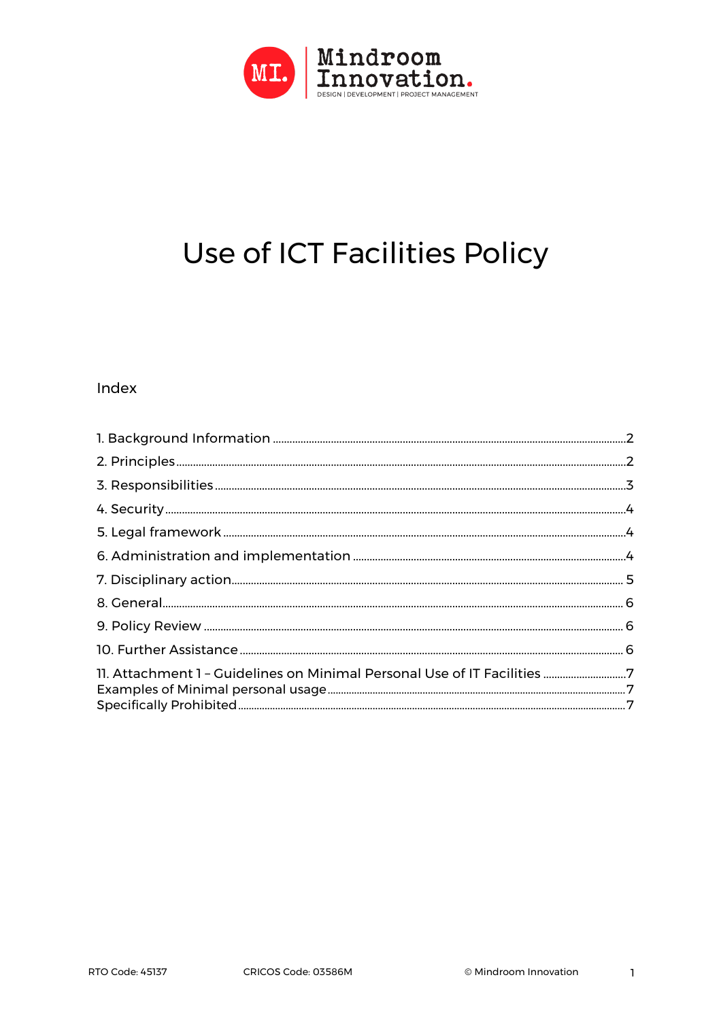

# Use of ICT Facilities Policy

#### Index

| 11. Attachment 1 - Guidelines on Minimal Personal Use of IT Facilities 7 |  |
|--------------------------------------------------------------------------|--|
|                                                                          |  |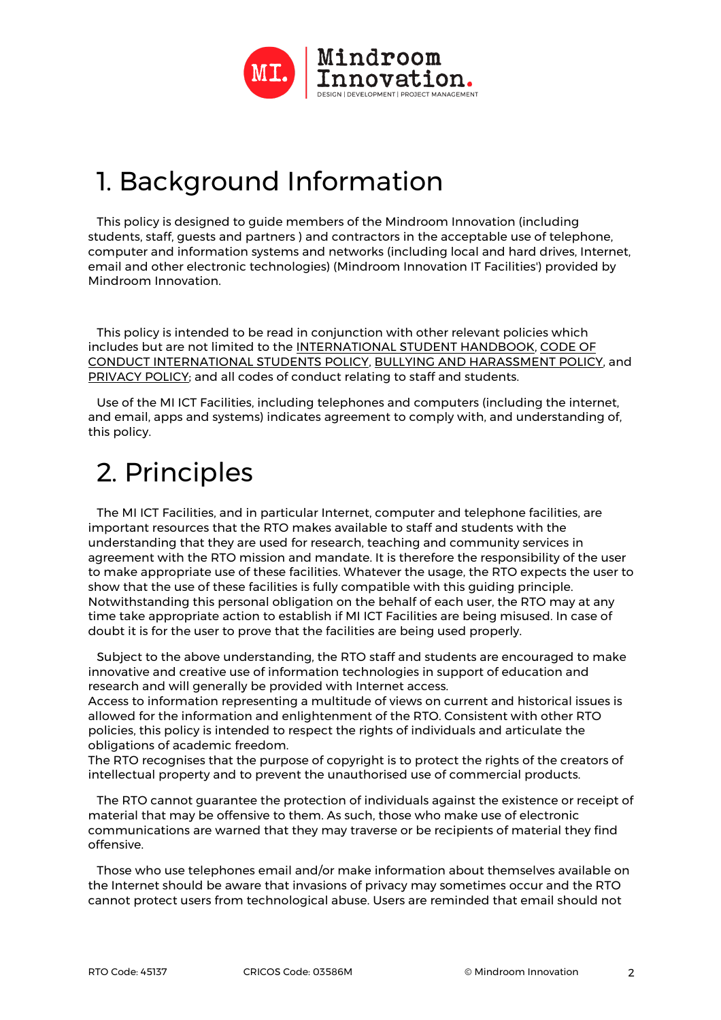

## 1. Background Information

This policy is designed to guide members of the Mindroom Innovation (including students, staff, guests and partners ) and contractors in the acceptable use of telephone, computer and information systems and networks (including local and hard drives, Internet, email and other electronic technologies) (Mindroom Innovation IT Facilities') provided by Mindroom Innovation.

This policy is intended to be read in conjunction with other relevant policies which includes but are not limited to the INTERNATIONAL STUDENT HANDBOOK, CODE OF CONDUCT INTERNATIONAL STUDENTS POLICY, BULLYING AND HARASSMENT POLICY, and PRIVACY POLICY; and all codes of conduct relating to staff and students.

Use of the MI ICT Facilities, including telephones and computers (including the internet, and email, apps and systems) indicates agreement to comply with, and understanding of, this policy.

## 2. Principles

The MI ICT Facilities, and in particular Internet, computer and telephone facilities, are important resources that the RTO makes available to staff and students with the understanding that they are used for research, teaching and community services in agreement with the RTO mission and mandate. It is therefore the responsibility of the user to make appropriate use of these facilities. Whatever the usage, the RTO expects the user to show that the use of these facilities is fully compatible with this guiding principle. Notwithstanding this personal obligation on the behalf of each user, the RTO may at any time take appropriate action to establish if MI ICT Facilities are being misused. In case of doubt it is for the user to prove that the facilities are being used properly.

Subject to the above understanding, the RTO staff and students are encouraged to make innovative and creative use of information technologies in support of education and research and will generally be provided with Internet access.

Access to information representing a multitude of views on current and historical issues is allowed for the information and enlightenment of the RTO. Consistent with other RTO policies, this policy is intended to respect the rights of individuals and articulate the obligations of academic freedom.

The RTO recognises that the purpose of copyright is to protect the rights of the creators of intellectual property and to prevent the unauthorised use of commercial products.

The RTO cannot guarantee the protection of individuals against the existence or receipt of material that may be offensive to them. As such, those who make use of electronic communications are warned that they may traverse or be recipients of material they find offensive.

Those who use telephones email and/or make information about themselves available on the Internet should be aware that invasions of privacy may sometimes occur and the RTO cannot protect users from technological abuse. Users are reminded that email should not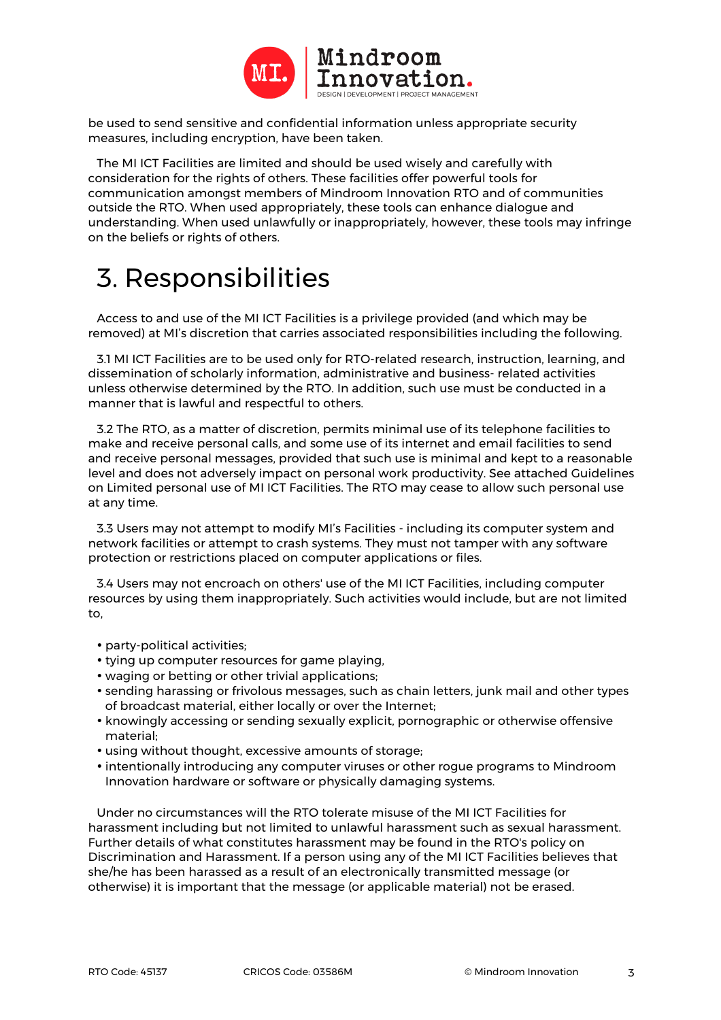

be used to send sensitive and confidential information unless appropriate security measures, including encryption, have been taken.

The MI ICT Facilities are limited and should be used wisely and carefully with consideration for the rights of others. These facilities offer powerful tools for communication amongst members of Mindroom Innovation RTO and of communities outside the RTO. When used appropriately, these tools can enhance dialogue and understanding. When used unlawfully or inappropriately, however, these tools may infringe on the beliefs or rights of others.

## 3. Responsibilities

Access to and use of the MI ICT Facilities is a privilege provided (and which may be removed) at MI's discretion that carries associated responsibilities including the following.

3.1 MI ICT Facilities are to be used only for RTO-related research, instruction, learning, and dissemination of scholarly information, administrative and business- related activities unless otherwise determined by the RTO. In addition, such use must be conducted in a manner that is lawful and respectful to others.

3.2 The RTO, as a matter of discretion, permits minimal use of its telephone facilities to make and receive personal calls, and some use of its internet and email facilities to send and receive personal messages, provided that such use is minimal and kept to a reasonable level and does not adversely impact on personal work productivity. See attached Guidelines on Limited personal use of MI ICT Facilities. The RTO may cease to allow such personal use at any time.

3.3 Users may not attempt to modify MI's Facilities - including its computer system and network facilities or attempt to crash systems. They must not tamper with any software protection or restrictions placed on computer applications or files.

3.4 Users may not encroach on others' use of the MI ICT Facilities, including computer resources by using them inappropriately. Such activities would include, but are not limited to,

- party-political activities;
- tying up computer resources for game playing,
- waging or betting or other trivial applications;
- sending harassing or frivolous messages, such as chain letters, junk mail and other types of broadcast material, either locally or over the Internet;
- knowingly accessing or sending sexually explicit, pornographic or otherwise offensive material;
- using without thought, excessive amounts of storage;
- intentionally introducing any computer viruses or other rogue programs to Mindroom Innovation hardware or software or physically damaging systems.

Under no circumstances will the RTO tolerate misuse of the MI ICT Facilities for harassment including but not limited to unlawful harassment such as sexual harassment. Further details of what constitutes harassment may be found in the RTO's policy on Discrimination and Harassment. If a person using any of the MI ICT Facilities believes that she/he has been harassed as a result of an electronically transmitted message (or otherwise) it is important that the message (or applicable material) not be erased.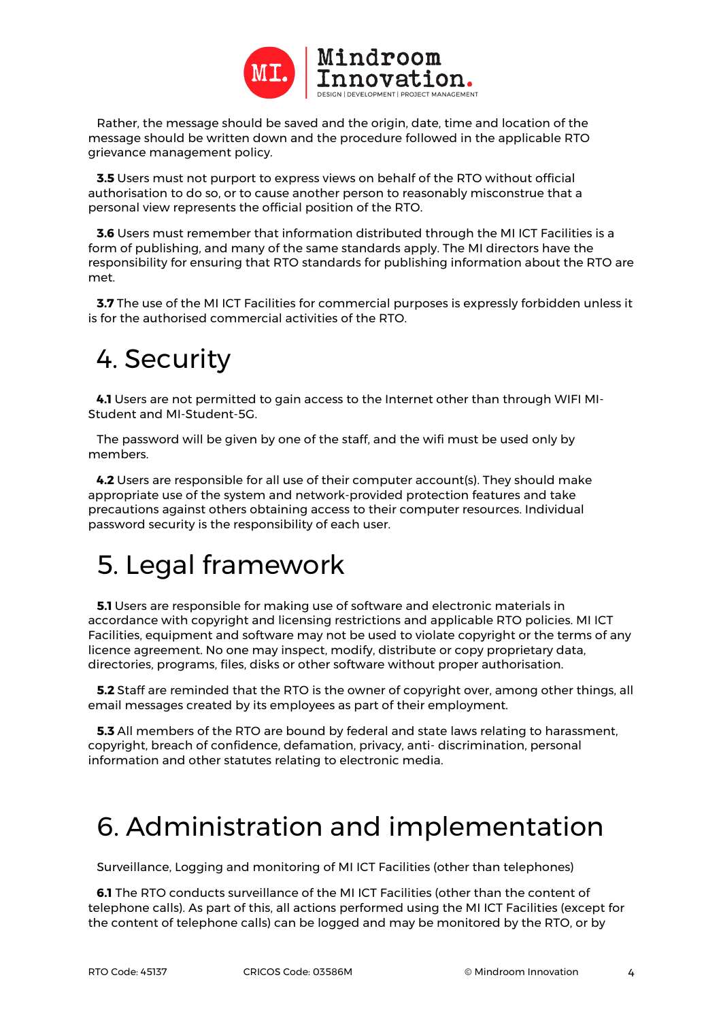

Rather, the message should be saved and the origin, date, time and location of the message should be written down and the procedure followed in the applicable RTO grievance management policy.

**3.5** Users must not purport to express views on behalf of the RTO without official authorisation to do so, or to cause another person to reasonably misconstrue that a personal view represents the official position of the RTO.

**3.6** Users must remember that information distributed through the MI ICT Facilities is a form of publishing, and many of the same standards apply. The MI directors have the responsibility for ensuring that RTO standards for publishing information about the RTO are met.

**3.7** The use of the MI ICT Facilities for commercial purposes is expressly forbidden unless it is for the authorised commercial activities of the RTO.

### 4. Security

**4.1** Users are not permitted to gain access to the Internet other than through WIFI MI-Student and MI-Student-5G.

The password will be given by one of the staff, and the wifi must be used only by members.

**4.2** Users are responsible for all use of their computer account(s). They should make appropriate use of the system and network-provided protection features and take precautions against others obtaining access to their computer resources. Individual password security is the responsibility of each user.

## 5. Legal framework

**5.1** Users are responsible for making use of software and electronic materials in accordance with copyright and licensing restrictions and applicable RTO policies. MI ICT Facilities, equipment and software may not be used to violate copyright or the terms of any licence agreement. No one may inspect, modify, distribute or copy proprietary data, directories, programs, files, disks or other software without proper authorisation.

**5.2** Staff are reminded that the RTO is the owner of copyright over, among other things, all email messages created by its employees as part of their employment.

**5.3** All members of the RTO are bound by federal and state laws relating to harassment, copyright, breach of confidence, defamation, privacy, anti- discrimination, personal information and other statutes relating to electronic media.

### 6. Administration and implementation

Surveillance, Logging and monitoring of MI ICT Facilities (other than telephones)

**6.1** The RTO conducts surveillance of the MI ICT Facilities (other than the content of telephone calls). As part of this, all actions performed using the MI ICT Facilities (except for the content of telephone calls) can be logged and may be monitored by the RTO, or by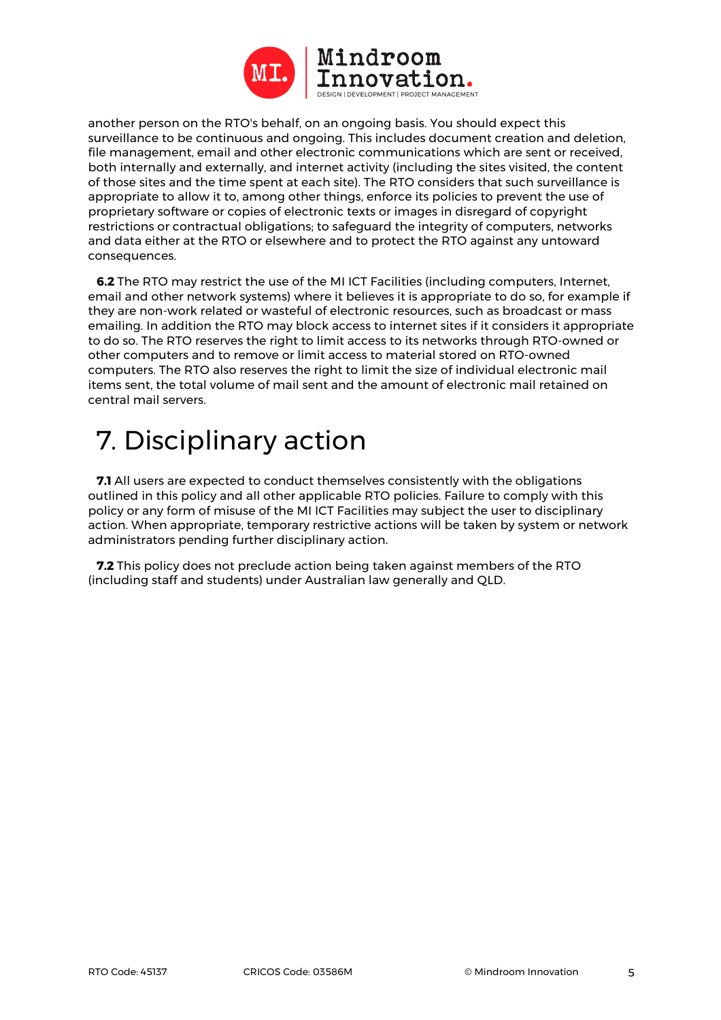

another person on the RTO's behalf, on an ongoing basis. You should expect this surveillance to be continuous and ongoing. This includes document creation and deletion, file management, email and other electronic communications which are sent or received, both internally and externally, and internet activity (including the sites visited, the content of those sites and the time spent at each site). The RTO considers that such surveillance is appropriate to allow it to, among other things, enforce its policies to prevent the use of proprietary software or copies of electronic texts or images in disregard of copyright restrictions or contractual obligations; to safeguard the integrity of computers, networks and data either at the RTO or elsewhere and to protect the RTO against any untoward consequences.

**6.2** The RTO may restrict the use of the MI ICT Facilities (including computers, Internet, email and other network systems) where it believes it is appropriate to do so, for example if they are non-work related or wasteful of electronic resources, such as broadcast or mass emailing. In addition the RTO may block access to internet sites if it considers it appropriate to do so. The RTO reserves the right to limit access to its networks through RTO-owned or other computers and to remove or limit access to material stored on RTO-owned computers. The RTO also reserves the right to limit the size of individual electronic mail items sent, the total volume of mail sent and the amount of electronic mail retained on central mail servers.

## 7. Disciplinary action

**7.1** All users are expected to conduct themselves consistently with the obligations outlined in this policy and all other applicable RTO policies. Failure to comply with this policy or any form of misuse of the MI ICT Facilities may subject the user to disciplinary action. When appropriate, temporary restrictive actions will be taken by system or network administrators pending further disciplinary action.

**7.2** This policy does not preclude action being taken against members of the RTO (including staff and students) under Australian law generally and QLD.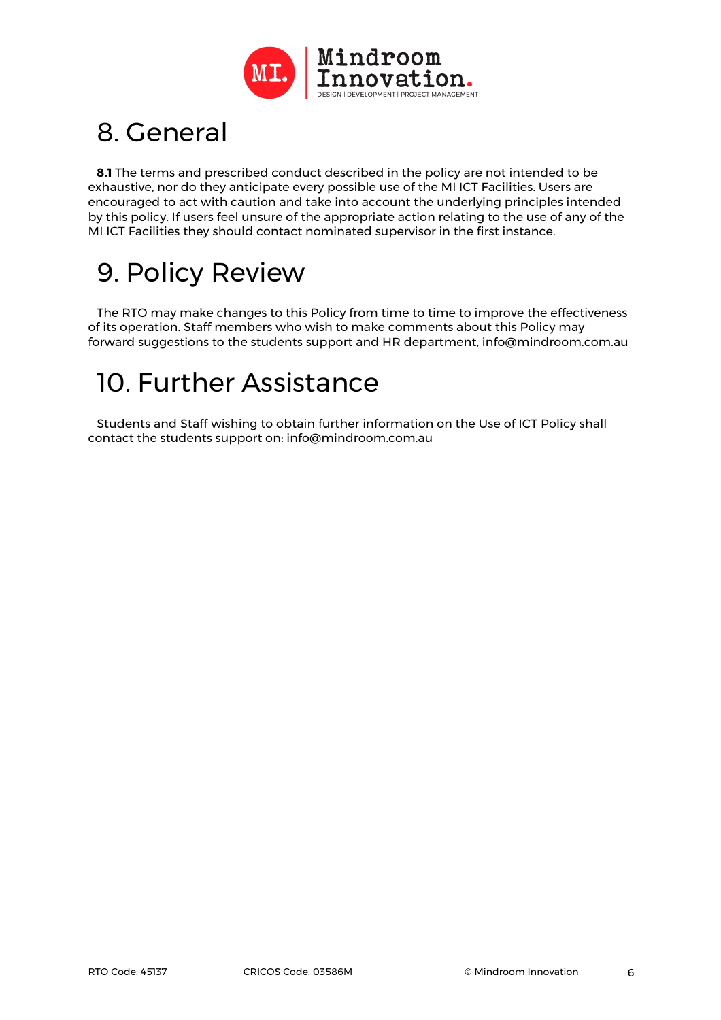

## 8. General

**8.1** The terms and prescribed conduct described in the policy are not intended to be exhaustive, nor do they anticipate every possible use of the MI ICT Facilities. Users are encouraged to act with caution and take into account the underlying principles intended by this policy. If users feel unsure of the appropriate action relating to the use of any of the MI ICT Facilities they should contact nominated supervisor in the first instance.

## 9. Policy Review

The RTO may make changes to this Policy from time to time to improve the effectiveness of its operation. Staff members who wish to make comments about this Policy may forward suggestions to the students support and HR department, info@mindroom.com.au

## 10. Further Assistance

Students and Staff wishing to obtain further information on the Use of ICT Policy shall contact the students support on: info@mindroom.com.au